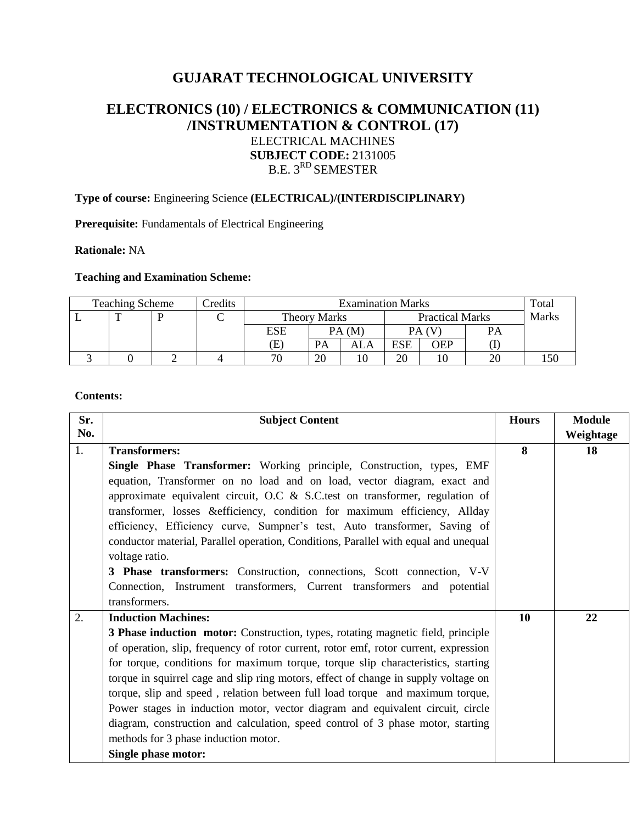# **GUJARAT TECHNOLOGICAL UNIVERSITY**

## **ELECTRONICS (10) / ELECTRONICS & COMMUNICATION (11) /INSTRUMENTATION & CONTROL (17)** ELECTRICAL MACHINES **SUBJECT CODE:** 2131005 B.E. 3<sup>RD</sup> SEMESTER

## **Type of course:** Engineering Science **(ELECTRICAL)/(INTERDISCIPLINARY)**

**Prerequisite:** Fundamentals of Electrical Engineering

#### **Rationale:** NA

## **Teaching and Examination Scheme:**

| <b>Teaching Scheme</b> |  |  | Credits | <b>Examination Marks</b> |                     |     |                        |     |           | Total |
|------------------------|--|--|---------|--------------------------|---------------------|-----|------------------------|-----|-----------|-------|
|                        |  |  |         |                          | <b>Theory Marks</b> |     | <b>Practical Marks</b> |     |           | Marks |
|                        |  |  |         | ESE                      | PA(M)               |     | PA (V                  |     | $P\Delta$ |       |
|                        |  |  |         | Œ                        | PА                  | ALA | ESE                    | OEP |           |       |
|                        |  |  |         | 70                       | 20                  | 10  | 20                     |     |           |       |

#### **Contents:**

| Sr. | <b>Subject Content</b>                                                                  | <b>Hours</b> | <b>Module</b> |
|-----|-----------------------------------------------------------------------------------------|--------------|---------------|
| No. |                                                                                         |              | Weightage     |
| 1.  | <b>Transformers:</b>                                                                    | 8            | 18            |
|     | <b>Single Phase Transformer:</b> Working principle, Construction, types, EMF            |              |               |
|     | equation, Transformer on no load and on load, vector diagram, exact and                 |              |               |
|     | approximate equivalent circuit, O.C & S.C.test on transformer, regulation of            |              |               |
|     | transformer, losses & efficiency, condition for maximum efficiency, Allday              |              |               |
|     | efficiency, Efficiency curve, Sumpner's test, Auto transformer, Saving of               |              |               |
|     | conductor material, Parallel operation, Conditions, Parallel with equal and unequal     |              |               |
|     | voltage ratio.                                                                          |              |               |
|     | 3 Phase transformers: Construction, connections, Scott connection, V-V                  |              |               |
|     | Connection, Instrument transformers, Current transformers and potential                 |              |               |
|     | transformers.                                                                           |              |               |
| 2.  | <b>Induction Machines:</b>                                                              | 10           | 22            |
|     | <b>3 Phase induction motor:</b> Construction, types, rotating magnetic field, principle |              |               |
|     | of operation, slip, frequency of rotor current, rotor emf, rotor current, expression    |              |               |
|     | for torque, conditions for maximum torque, torque slip characteristics, starting        |              |               |
|     | torque in squirrel cage and slip ring motors, effect of change in supply voltage on     |              |               |
|     | torque, slip and speed, relation between full load torque and maximum torque,           |              |               |
|     | Power stages in induction motor, vector diagram and equivalent circuit, circle          |              |               |
|     | diagram, construction and calculation, speed control of 3 phase motor, starting         |              |               |
|     | methods for 3 phase induction motor.                                                    |              |               |
|     | <b>Single phase motor:</b>                                                              |              |               |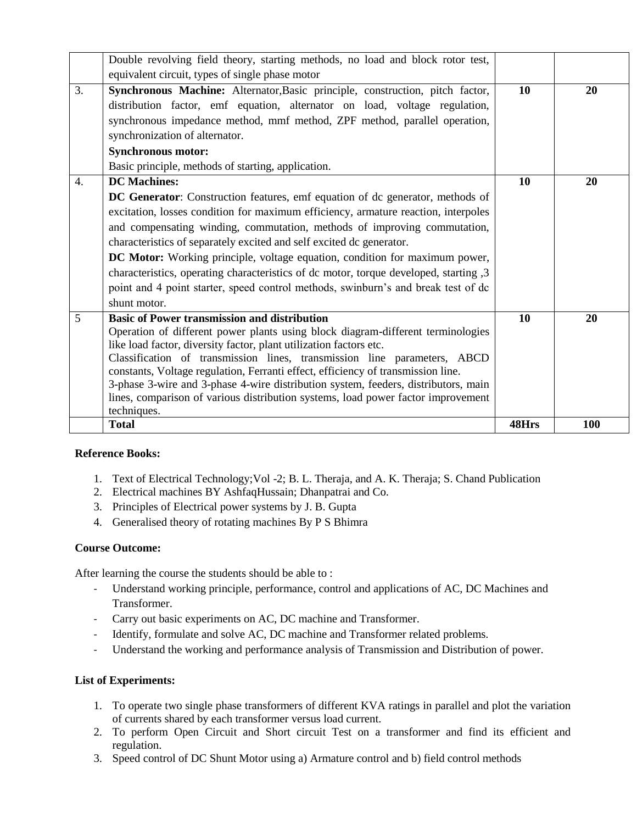| Double revolving field theory, starting methods, no load and block rotor test,                                                                                                                                                                                                                                                                                                                                                                                                                                                                                                                              |       |     |
|-------------------------------------------------------------------------------------------------------------------------------------------------------------------------------------------------------------------------------------------------------------------------------------------------------------------------------------------------------------------------------------------------------------------------------------------------------------------------------------------------------------------------------------------------------------------------------------------------------------|-------|-----|
| equivalent circuit, types of single phase motor                                                                                                                                                                                                                                                                                                                                                                                                                                                                                                                                                             |       |     |
| 3.<br>Synchronous Machine: Alternator, Basic principle, construction, pitch factor,<br>distribution factor, emf equation, alternator on load, voltage regulation,<br>synchronous impedance method, mmf method, ZPF method, parallel operation,<br>synchronization of alternator.<br><b>Synchronous motor:</b>                                                                                                                                                                                                                                                                                               | 10    | 20  |
| Basic principle, methods of starting, application.<br><b>DC</b> Machines:<br>4.                                                                                                                                                                                                                                                                                                                                                                                                                                                                                                                             | 10    | 20  |
| <b>DC Generator:</b> Construction features, emf equation of dc generator, methods of<br>excitation, losses condition for maximum efficiency, armature reaction, interpoles<br>and compensating winding, commutation, methods of improving commutation,<br>characteristics of separately excited and self excited dc generator.<br>DC Motor: Working principle, voltage equation, condition for maximum power,<br>characteristics, operating characteristics of dc motor, torque developed, starting ,3<br>point and 4 point starter, speed control methods, swinburn's and break test of dc<br>shunt motor. |       |     |
| <b>Basic of Power transmission and distribution</b><br>5<br>Operation of different power plants using block diagram-different terminologies<br>like load factor, diversity factor, plant utilization factors etc.<br>Classification of transmission lines, transmission line parameters, ABCD<br>constants, Voltage regulation, Ferranti effect, efficiency of transmission line.<br>3-phase 3-wire and 3-phase 4-wire distribution system, feeders, distributors, main<br>lines, comparison of various distribution systems, load power factor improvement<br>techniques.                                  | 10    | 20  |
| <b>Total</b>                                                                                                                                                                                                                                                                                                                                                                                                                                                                                                                                                                                                | 48Hrs | 100 |

#### **Reference Books:**

- 1. Text of Electrical Technology;Vol -2; B. L. Theraja, and A. K. Theraja; S. Chand Publication
- 2. Electrical machines BY AshfaqHussain; Dhanpatrai and Co.
- 3. Principles of Electrical power systems by J. B. Gupta
- 4. Generalised theory of rotating machines By P S Bhimra

#### **Course Outcome:**

After learning the course the students should be able to :

- Understand working principle, performance, control and applications of AC, DC Machines and Transformer.
- Carry out basic experiments on AC, DC machine and Transformer.
- Identify, formulate and solve AC, DC machine and Transformer related problems.
- Understand the working and performance analysis of Transmission and Distribution of power.

#### **List of Experiments:**

- 1. To operate two single phase transformers of different KVA ratings in parallel and plot the variation of currents shared by each transformer versus load current.
- 2. To perform Open Circuit and Short circuit Test on a transformer and find its efficient and regulation.
- 3. Speed control of DC Shunt Motor using a) Armature control and b) field control methods